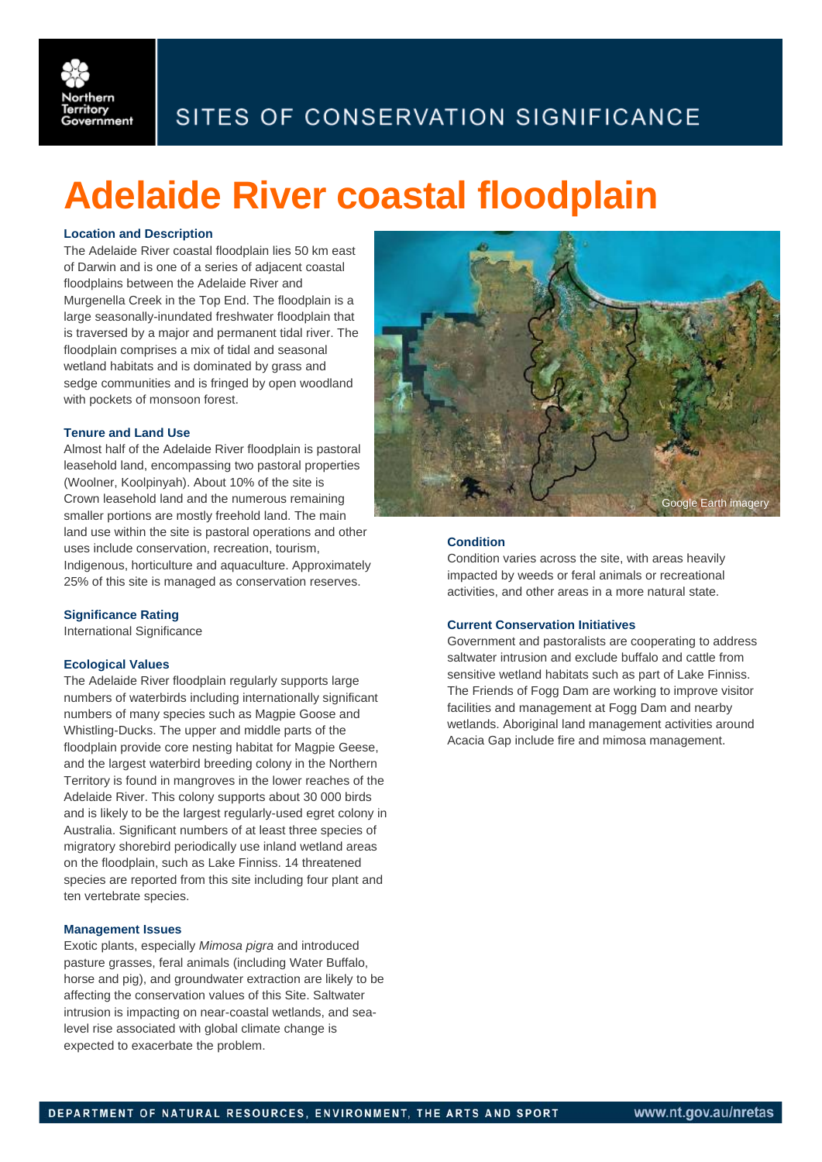

# SITES OF CONSERVATION SIGNIFICANCE

# **Adelaide River coastal floodplain**

# **Location and Description**

The Adelaide River coastal floodplain lies 50 km east of Darwin and is one of a series of adjacent coastal floodplains between the Adelaide River and Murgenella Creek in the Top End. The floodplain is a large seasonally-inundated freshwater floodplain that is traversed by a major and permanent tidal river. The floodplain comprises a mix of tidal and seasonal wetland habitats and is dominated by grass and sedge communities and is fringed by open woodland with pockets of monsoon forest.

## **Tenure and Land Use**

Almost half of the Adelaide River floodplain is pastoral leasehold land, encompassing two pastoral properties (Woolner, Koolpinyah). About 10% of the site is Crown leasehold land and the numerous remaining smaller portions are mostly freehold land. The main land use within the site is pastoral operations and other uses include conservation, recreation, tourism, Indigenous, horticulture and aquaculture. Approximately 25% of this site is managed as conservation reserves.

#### **Significance Rating**

International Significance

#### **Ecological Values**

The Adelaide River floodplain regularly supports large numbers of waterbirds including internationally significant numbers of many species such as Magpie Goose and Whistling-Ducks. The upper and middle parts of the floodplain provide core nesting habitat for Magpie Geese, and the largest waterbird breeding colony in the Northern Territory is found in mangroves in the lower reaches of the Adelaide River. This colony supports about 30 000 birds and is likely to be the largest regularly-used egret colony in Australia. Significant numbers of at least three species of migratory shorebird periodically use inland wetland areas on the floodplain, such as Lake Finniss. 14 threatened species are reported from this site including four plant and ten vertebrate species.

#### **Management Issues**

Exotic plants, especially *Mimosa pigra* and introduced pasture grasses, feral animals (including Water Buffalo, horse and pig), and groundwater extraction are likely to be affecting the conservation values of this Site. Saltwater intrusion is impacting on near-coastal wetlands, and sealevel rise associated with global climate change is expected to exacerbate the problem.



### **Condition**

Condition varies across the site, with areas heavily impacted by weeds or feral animals or recreational activities, and other areas in a more natural state.

# **Current Conservation Initiatives**

Government and pastoralists are cooperating to address saltwater intrusion and exclude buffalo and cattle from sensitive wetland habitats such as part of Lake Finniss. The Friends of Fogg Dam are working to improve visitor facilities and management at Fogg Dam and nearby wetlands. Aboriginal land management activities around Acacia Gap include fire and mimosa management.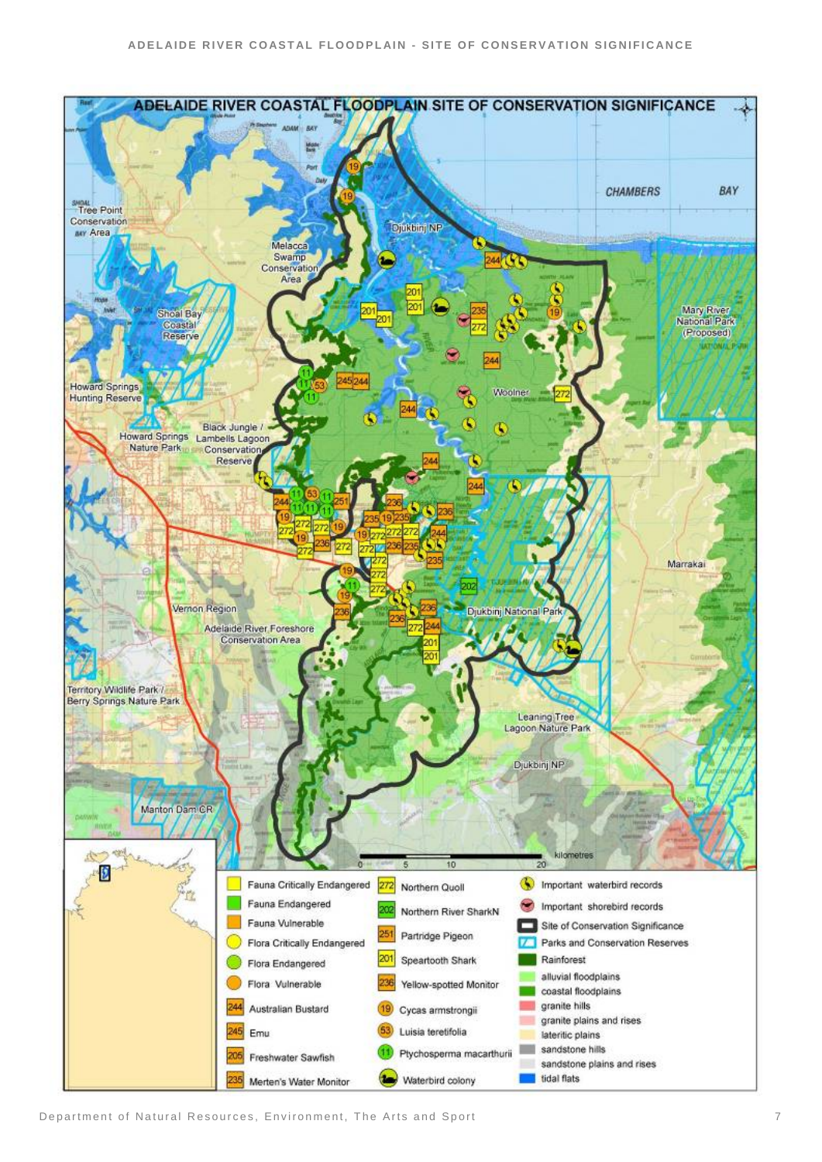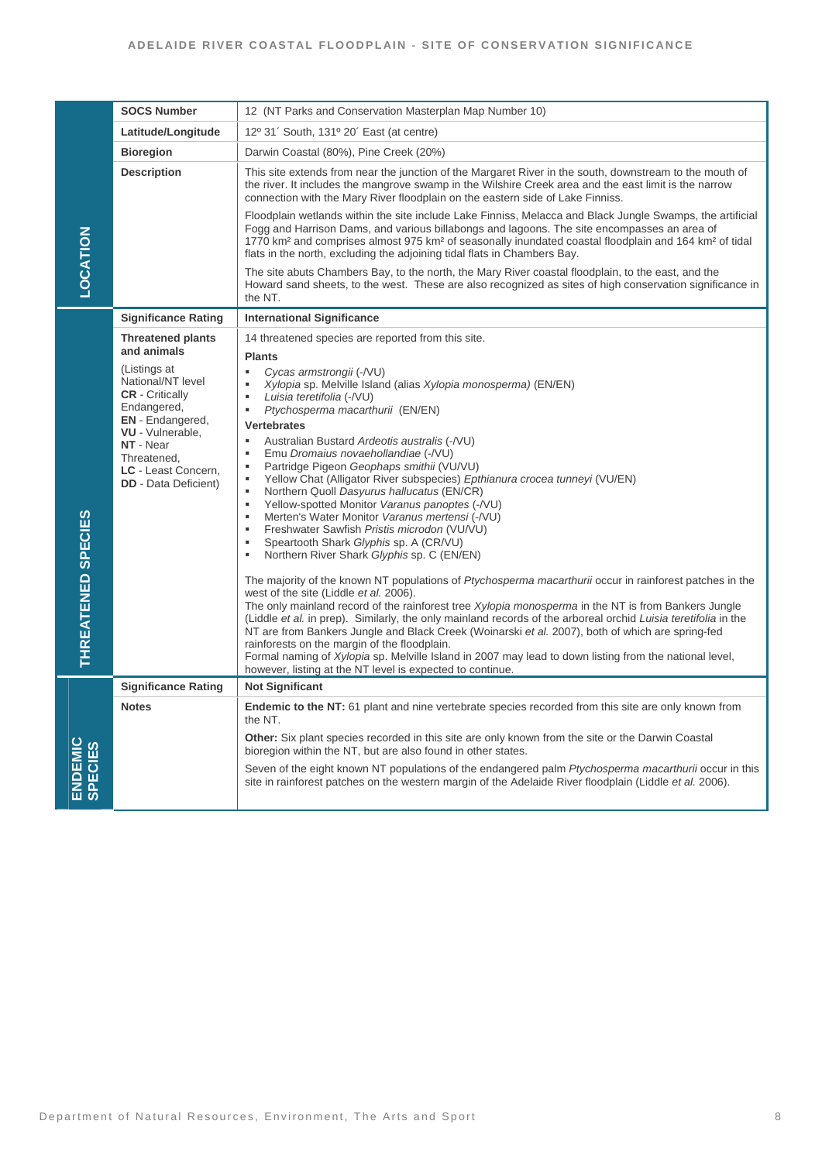|                    | <b>SOCS Number</b>                                 | 12 (NT Parks and Conservation Masterplan Map Number 10)                                                                                                                                                                                                                                                                                                                                                                           |
|--------------------|----------------------------------------------------|-----------------------------------------------------------------------------------------------------------------------------------------------------------------------------------------------------------------------------------------------------------------------------------------------------------------------------------------------------------------------------------------------------------------------------------|
|                    | Latitude/Longitude                                 | 12º 31' South, 131º 20' East (at centre)                                                                                                                                                                                                                                                                                                                                                                                          |
|                    | <b>Bioregion</b>                                   | Darwin Coastal (80%), Pine Creek (20%)                                                                                                                                                                                                                                                                                                                                                                                            |
|                    | <b>Description</b>                                 | This site extends from near the junction of the Margaret River in the south, downstream to the mouth of<br>the river. It includes the mangrove swamp in the Wilshire Creek area and the east limit is the narrow<br>connection with the Mary River floodplain on the eastern side of Lake Finniss.                                                                                                                                |
|                    |                                                    | Floodplain wetlands within the site include Lake Finniss, Melacca and Black Jungle Swamps, the artificial<br>Fogg and Harrison Dams, and various billabongs and lagoons. The site encompasses an area of<br>1770 km <sup>2</sup> and comprises almost 975 km <sup>2</sup> of seasonally inundated coastal floodplain and 164 km <sup>2</sup> of tidal<br>flats in the north, excluding the adjoining tidal flats in Chambers Bay. |
| <b>LOCATION</b>    |                                                    | The site abuts Chambers Bay, to the north, the Mary River coastal floodplain, to the east, and the<br>Howard sand sheets, to the west. These are also recognized as sites of high conservation significance in<br>the NT.                                                                                                                                                                                                         |
|                    | <b>Significance Rating</b>                         | <b>International Significance</b>                                                                                                                                                                                                                                                                                                                                                                                                 |
|                    | <b>Threatened plants</b>                           | 14 threatened species are reported from this site.                                                                                                                                                                                                                                                                                                                                                                                |
|                    | and animals                                        | <b>Plants</b>                                                                                                                                                                                                                                                                                                                                                                                                                     |
|                    | (Listings at<br>National/NT level                  | ٠<br>Cycas armstrongii (-/VU)<br>$\blacksquare$<br>Xylopia sp. Melville Island (alias Xylopia monosperma) (EN/EN)                                                                                                                                                                                                                                                                                                                 |
|                    | <b>CR</b> - Critically<br>Endangered,              | ٠<br>Luisia teretifolia (-/VU)                                                                                                                                                                                                                                                                                                                                                                                                    |
|                    | <b>EN</b> - Endangered,                            | Ptychosperma macarthurii (EN/EN)<br>٠<br><b>Vertebrates</b>                                                                                                                                                                                                                                                                                                                                                                       |
|                    | VU - Vulnerable,<br>NT - Near                      | $\blacksquare$<br>Australian Bustard Ardeotis australis (-/VU)                                                                                                                                                                                                                                                                                                                                                                    |
|                    | Threatened,                                        | Emu Dromaius novaehollandiae (-/VU)<br>٠<br>Partridge Pigeon Geophaps smithii (VU/VU)<br>$\blacksquare$                                                                                                                                                                                                                                                                                                                           |
|                    | LC - Least Concern,<br><b>DD</b> - Data Deficient) | $\blacksquare$<br>Yellow Chat (Alligator River subspecies) Epthianura crocea tunneyi (VU/EN)<br>$\mathbf{r}$                                                                                                                                                                                                                                                                                                                      |
|                    |                                                    | Northern Quoll Dasyurus hallucatus (EN/CR)<br>Yellow-spotted Monitor Varanus panoptes (-/VU)<br>$\blacksquare$                                                                                                                                                                                                                                                                                                                    |
|                    |                                                    | $\blacksquare$<br>Merten's Water Monitor Varanus mertensi (-/VU)<br>Freshwater Sawfish Pristis microdon (VU/VU)<br>٠                                                                                                                                                                                                                                                                                                              |
|                    |                                                    | Speartooth Shark Glyphis sp. A (CR/VU)<br>×                                                                                                                                                                                                                                                                                                                                                                                       |
|                    |                                                    | Northern River Shark Glyphis sp. C (EN/EN)<br>٠                                                                                                                                                                                                                                                                                                                                                                                   |
|                    |                                                    | The majority of the known NT populations of Ptychosperma macarthurii occur in rainforest patches in the                                                                                                                                                                                                                                                                                                                           |
| THREATENED SPECIES |                                                    | west of the site (Liddle et al. 2006).<br>The only mainland record of the rainforest tree <i>Xylopia monosperma</i> in the NT is from Bankers Jungle<br>(Liddle et al. in prep). Similarly, the only mainland records of the arboreal orchid Luisia teretifolia in the<br>NT are from Bankers Jungle and Black Creek (Woinarski et al. 2007), both of which are spring-fed                                                        |
|                    |                                                    | rainforests on the margin of the floodplain.<br>Formal naming of <i>Xylopia</i> sp. Melville Island in 2007 may lead to down listing from the national level,<br>however, listing at the NT level is expected to continue.                                                                                                                                                                                                        |
|                    | <b>Significance Rating</b>                         | <b>Not Significant</b>                                                                                                                                                                                                                                                                                                                                                                                                            |
|                    | <b>Notes</b>                                       | <b>Endemic to the NT:</b> 61 plant and nine vertebrate species recorded from this site are only known from<br>the NT.                                                                                                                                                                                                                                                                                                             |
|                    |                                                    | Other: Six plant species recorded in this site are only known from the site or the Darwin Coastal<br>bioregion within the NT, but are also found in other states.                                                                                                                                                                                                                                                                 |
| ENDEMIC<br>SPECIES |                                                    | Seven of the eight known NT populations of the endangered palm <i>Ptychosperma macarthurii</i> occur in this<br>site in rainforest patches on the western margin of the Adelaide River floodplain (Liddle et al. 2006).                                                                                                                                                                                                           |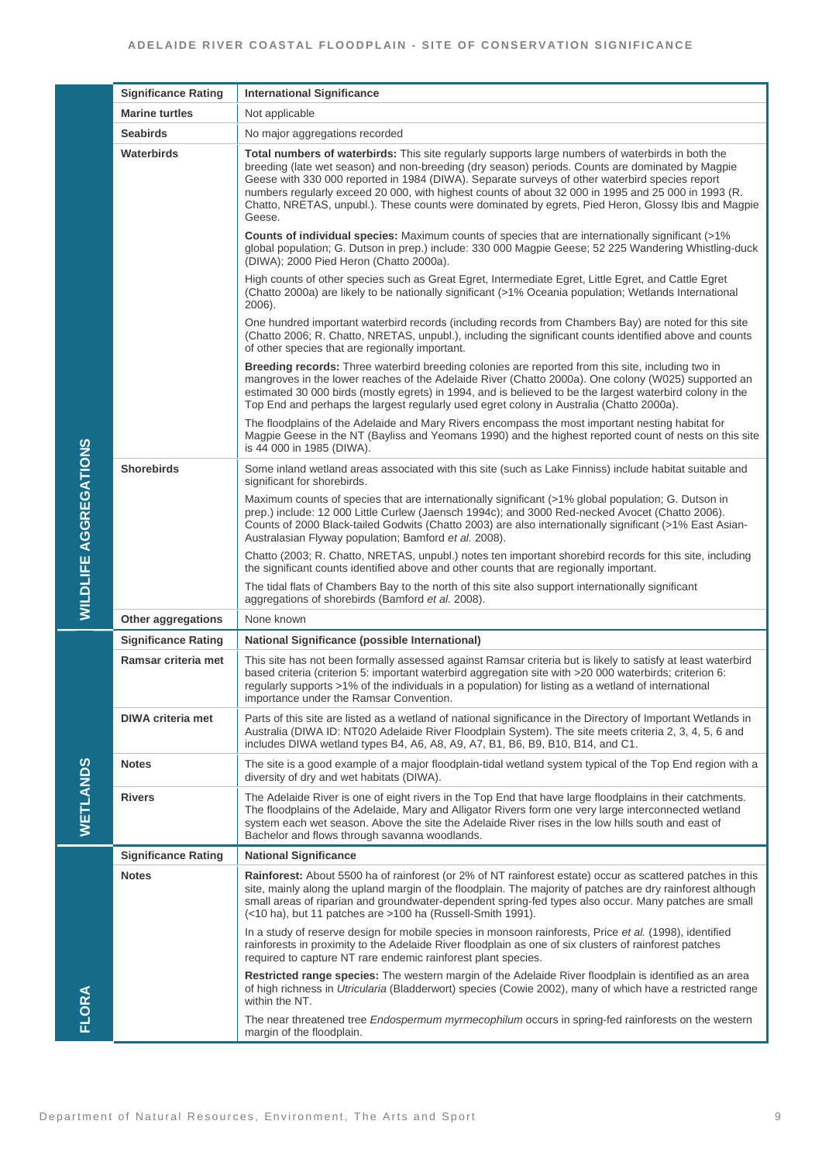|                       | <b>Significance Rating</b> | <b>International Significance</b>                                                                                                                                                                                                                                                                                                                                                                                                                                                                                               |
|-----------------------|----------------------------|---------------------------------------------------------------------------------------------------------------------------------------------------------------------------------------------------------------------------------------------------------------------------------------------------------------------------------------------------------------------------------------------------------------------------------------------------------------------------------------------------------------------------------|
|                       | <b>Marine turtles</b>      | Not applicable                                                                                                                                                                                                                                                                                                                                                                                                                                                                                                                  |
|                       | <b>Seabirds</b>            | No major aggregations recorded                                                                                                                                                                                                                                                                                                                                                                                                                                                                                                  |
|                       | <b>Waterbirds</b>          | Total numbers of waterbirds: This site regularly supports large numbers of waterbirds in both the<br>breeding (late wet season) and non-breeding (dry season) periods. Counts are dominated by Magpie<br>Geese with 330 000 reported in 1984 (DIWA). Separate surveys of other waterbird species report<br>numbers regularly exceed 20 000, with highest counts of about 32 000 in 1995 and 25 000 in 1993 (R.<br>Chatto, NRETAS, unpubl.). These counts were dominated by egrets, Pied Heron, Glossy Ibis and Magpie<br>Geese. |
|                       |                            | <b>Counts of individual species:</b> Maximum counts of species that are internationally significant (>1%)<br>global population; G. Dutson in prep.) include: 330 000 Magpie Geese; 52 225 Wandering Whistling-duck<br>(DIWA); 2000 Pied Heron (Chatto 2000a).                                                                                                                                                                                                                                                                   |
|                       |                            | High counts of other species such as Great Egret, Intermediate Egret, Little Egret, and Cattle Egret<br>(Chatto 2000a) are likely to be nationally significant (>1% Oceania population; Wetlands International<br>$2006$ ).                                                                                                                                                                                                                                                                                                     |
|                       |                            | One hundred important waterbird records (including records from Chambers Bay) are noted for this site<br>(Chatto 2006; R. Chatto, NRETAS, unpubl.), including the significant counts identified above and counts<br>of other species that are regionally important.                                                                                                                                                                                                                                                             |
|                       |                            | Breeding records: Three waterbird breeding colonies are reported from this site, including two in<br>mangroves in the lower reaches of the Adelaide River (Chatto 2000a). One colony (W025) supported an<br>estimated 30 000 birds (mostly egrets) in 1994, and is believed to be the largest waterbird colony in the<br>Top End and perhaps the largest regularly used egret colony in Australia (Chatto 2000a).                                                                                                               |
|                       |                            | The floodplains of the Adelaide and Mary Rivers encompass the most important nesting habitat for<br>Magpie Geese in the NT (Bayliss and Yeomans 1990) and the highest reported count of nests on this site<br>is 44 000 in 1985 (DIWA).                                                                                                                                                                                                                                                                                         |
|                       | <b>Shorebirds</b>          | Some inland wetland areas associated with this site (such as Lake Finniss) include habitat suitable and<br>significant for shorebirds.                                                                                                                                                                                                                                                                                                                                                                                          |
| WILDLIFE AGGREGATIONS |                            | Maximum counts of species that are internationally significant (>1% global population; G. Dutson in<br>prep.) include: 12 000 Little Curlew (Jaensch 1994c); and 3000 Red-necked Avocet (Chatto 2006).<br>Counts of 2000 Black-tailed Godwits (Chatto 2003) are also internationally significant (>1% East Asian-<br>Australasian Flyway population; Bamford et al. 2008).                                                                                                                                                      |
|                       |                            | Chatto (2003; R. Chatto, NRETAS, unpubl.) notes ten important shorebird records for this site, including<br>the significant counts identified above and other counts that are regionally important.                                                                                                                                                                                                                                                                                                                             |
|                       |                            | The tidal flats of Chambers Bay to the north of this site also support internationally significant<br>aggregations of shorebirds (Bamford et al. 2008).                                                                                                                                                                                                                                                                                                                                                                         |
|                       | <b>Other aggregations</b>  | None known                                                                                                                                                                                                                                                                                                                                                                                                                                                                                                                      |
| WETLANDS              | <b>Significance Rating</b> | <b>National Significance (possible International)</b>                                                                                                                                                                                                                                                                                                                                                                                                                                                                           |
|                       | Ramsar criteria met        | This site has not been formally assessed against Ramsar criteria but is likely to satisfy at least waterbird<br>based criteria (criterion 5: important waterbird aggregation site with >20 000 waterbirds; criterion 6:<br>regularly supports >1% of the individuals in a population) for listing as a wetland of international<br>importance under the Ramsar Convention.                                                                                                                                                      |
|                       | <b>DIWA criteria met</b>   | Parts of this site are listed as a wetland of national significance in the Directory of Important Wetlands in<br>Australia (DIWA ID: NT020 Adelaide River Floodplain System). The site meets criteria 2, 3, 4, 5, 6 and<br>includes DIWA wetland types B4, A6, A8, A9, A7, B1, B6, B9, B10, B14, and C1.                                                                                                                                                                                                                        |
|                       | <b>Notes</b>               | The site is a good example of a major floodplain-tidal wetland system typical of the Top End region with a<br>diversity of dry and wet habitats (DIWA).                                                                                                                                                                                                                                                                                                                                                                         |
|                       | <b>Rivers</b>              | The Adelaide River is one of eight rivers in the Top End that have large floodplains in their catchments.<br>The floodplains of the Adelaide, Mary and Alligator Rivers form one very large interconnected wetland<br>system each wet season. Above the site the Adelaide River rises in the low hills south and east of<br>Bachelor and flows through savanna woodlands.                                                                                                                                                       |
|                       | <b>Significance Rating</b> | <b>National Significance</b>                                                                                                                                                                                                                                                                                                                                                                                                                                                                                                    |
|                       | <b>Notes</b>               | Rainforest: About 5500 ha of rainforest (or 2% of NT rainforest estate) occur as scattered patches in this<br>site, mainly along the upland margin of the floodplain. The majority of patches are dry rainforest although<br>small areas of riparian and groundwater-dependent spring-fed types also occur. Many patches are small<br>(<10 ha), but 11 patches are >100 ha (Russell-Smith 1991).                                                                                                                                |
|                       |                            | In a study of reserve design for mobile species in monsoon rainforests, Price et al. (1998), identified<br>rainforests in proximity to the Adelaide River floodplain as one of six clusters of rainforest patches<br>required to capture NT rare endemic rainforest plant species.                                                                                                                                                                                                                                              |
|                       |                            | Restricted range species: The western margin of the Adelaide River floodplain is identified as an area<br>of high richness in Utricularia (Bladderwort) species (Cowie 2002), many of which have a restricted range<br>within the NT.                                                                                                                                                                                                                                                                                           |
| FLORA                 |                            | The near threatened tree Endospermum myrmecophilum occurs in spring-fed rainforests on the western<br>margin of the floodplain.                                                                                                                                                                                                                                                                                                                                                                                                 |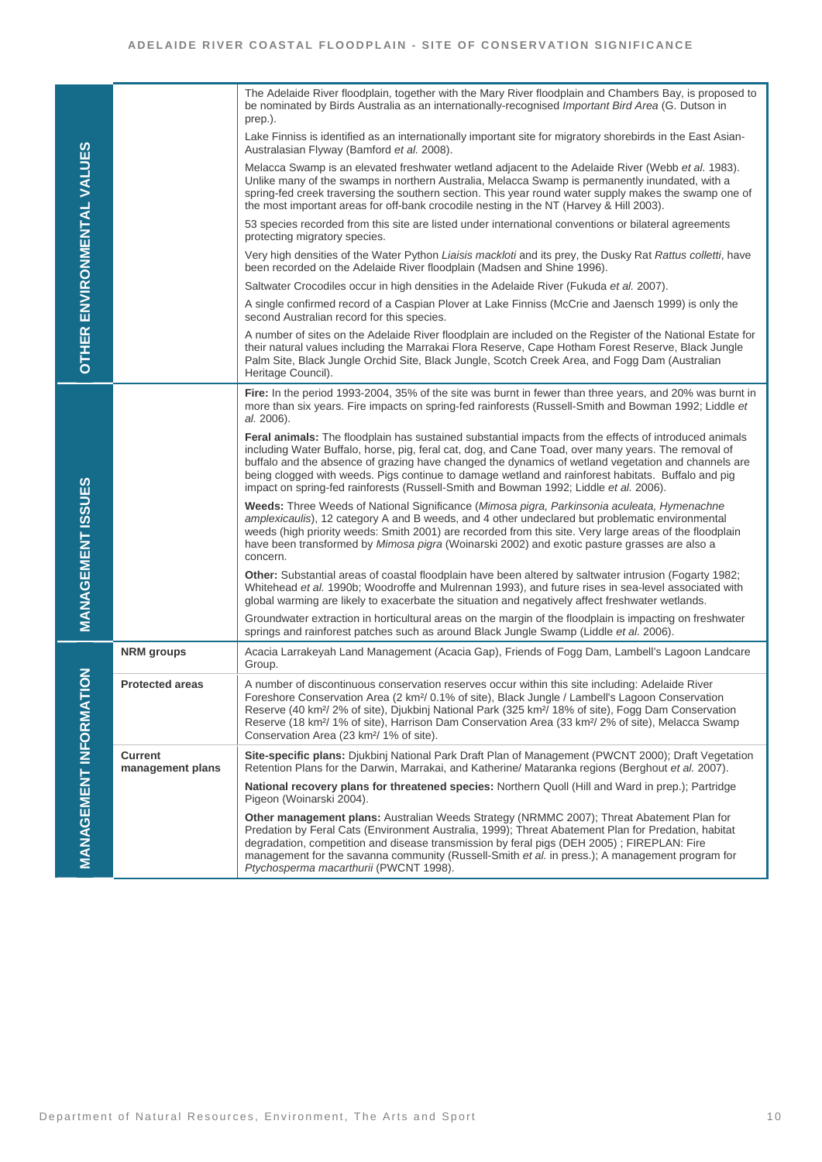|                                   |                                    | The Adelaide River floodplain, together with the Mary River floodplain and Chambers Bay, is proposed to<br>be nominated by Birds Australia as an internationally-recognised <i>Important Bird Area</i> (G. Dutson in<br>prep.).                                                                                                                                                                                                                                                                                                        |
|-----------------------------------|------------------------------------|----------------------------------------------------------------------------------------------------------------------------------------------------------------------------------------------------------------------------------------------------------------------------------------------------------------------------------------------------------------------------------------------------------------------------------------------------------------------------------------------------------------------------------------|
|                                   |                                    | Lake Finniss is identified as an internationally important site for migratory shorebirds in the East Asian-<br>Australasian Flyway (Bamford et al. 2008).                                                                                                                                                                                                                                                                                                                                                                              |
| <b>OTHER ENVIRONMENTAL VALUES</b> |                                    | Melacca Swamp is an elevated freshwater wetland adjacent to the Adelaide River (Webb et al. 1983).<br>Unlike many of the swamps in northern Australia, Melacca Swamp is permanently inundated, with a<br>spring-fed creek traversing the southern section. This year round water supply makes the swamp one of<br>the most important areas for off-bank crocodile nesting in the NT (Harvey & Hill 2003).                                                                                                                              |
|                                   |                                    | 53 species recorded from this site are listed under international conventions or bilateral agreements<br>protecting migratory species.                                                                                                                                                                                                                                                                                                                                                                                                 |
|                                   |                                    | Very high densities of the Water Python Liaisis mackloti and its prey, the Dusky Rat Rattus colletti, have<br>been recorded on the Adelaide River floodplain (Madsen and Shine 1996).                                                                                                                                                                                                                                                                                                                                                  |
|                                   |                                    | Saltwater Crocodiles occur in high densities in the Adelaide River (Fukuda et al. 2007).                                                                                                                                                                                                                                                                                                                                                                                                                                               |
|                                   |                                    | A single confirmed record of a Caspian Plover at Lake Finniss (McCrie and Jaensch 1999) is only the<br>second Australian record for this species.                                                                                                                                                                                                                                                                                                                                                                                      |
|                                   |                                    | A number of sites on the Adelaide River floodplain are included on the Register of the National Estate for<br>their natural values including the Marrakai Flora Reserve, Cape Hotham Forest Reserve, Black Jungle<br>Palm Site, Black Jungle Orchid Site, Black Jungle, Scotch Creek Area, and Fogg Dam (Australian<br>Heritage Council).                                                                                                                                                                                              |
|                                   |                                    | Fire: In the period 1993-2004, 35% of the site was burnt in fewer than three years, and 20% was burnt in<br>more than six years. Fire impacts on spring-fed rainforests (Russell-Smith and Bowman 1992; Liddle et<br>al. 2006).                                                                                                                                                                                                                                                                                                        |
|                                   |                                    | Feral animals: The floodplain has sustained substantial impacts from the effects of introduced animals<br>including Water Buffalo, horse, pig, feral cat, dog, and Cane Toad, over many years. The removal of<br>buffalo and the absence of grazing have changed the dynamics of wetland vegetation and channels are<br>being clogged with weeds. Pigs continue to damage wetland and rainforest habitats. Buffalo and pig<br>impact on spring-fed rainforests (Russell-Smith and Bowman 1992; Liddle et al. 2006).                    |
| <b>MANAGEMENT ISSUES</b>          |                                    | <b>Weeds:</b> Three Weeds of National Significance (Mimosa pigra, Parkinsonia aculeata, Hymenachne<br>amplexicaulis), 12 category A and B weeds, and 4 other undeclared but problematic environmental<br>weeds (high priority weeds: Smith 2001) are recorded from this site. Very large areas of the floodplain<br>have been transformed by Mimosa pigra (Woinarski 2002) and exotic pasture grasses are also a<br>concern.                                                                                                           |
|                                   |                                    | Other: Substantial areas of coastal floodplain have been altered by saltwater intrusion (Fogarty 1982;<br>Whitehead et al. 1990b; Woodroffe and Mulrennan 1993), and future rises in sea-level associated with<br>global warming are likely to exacerbate the situation and negatively affect freshwater wetlands.                                                                                                                                                                                                                     |
|                                   |                                    | Groundwater extraction in horticultural areas on the margin of the floodplain is impacting on freshwater<br>springs and rainforest patches such as around Black Jungle Swamp (Liddle et al. 2006).                                                                                                                                                                                                                                                                                                                                     |
|                                   | <b>NRM</b> groups                  | Acacia Larrakeyah Land Management (Acacia Gap), Friends of Fogg Dam, Lambell's Lagoon Landcare<br>Group.                                                                                                                                                                                                                                                                                                                                                                                                                               |
| $\sum_{i=1}^{n}$                  | <b>Protected areas</b>             | A number of discontinuous conservation reserves occur within this site including: Adelaide River<br>Foreshore Conservation Area (2 km <sup>2</sup> / 0.1% of site), Black Jungle / Lambell's Lagoon Conservation<br>Reserve (40 km <sup>2</sup> / 2% of site), Djukbinj National Park (325 km <sup>2</sup> / 18% of site), Fogg Dam Conservation<br>Reserve (18 km <sup>2</sup> / 1% of site), Harrison Dam Conservation Area (33 km <sup>2</sup> / 2% of site), Melacca Swamp<br>Conservation Area (23 km <sup>2</sup> / 1% of site). |
|                                   | <b>Current</b><br>management plans | Site-specific plans: Djukbinj National Park Draft Plan of Management (PWCNT 2000); Draft Vegetation<br>Retention Plans for the Darwin, Marrakai, and Katherine/ Mataranka regions (Berghout et al. 2007).                                                                                                                                                                                                                                                                                                                              |
|                                   |                                    | National recovery plans for threatened species: Northern Quoll (Hill and Ward in prep.); Partridge<br>Pigeon (Woinarski 2004).                                                                                                                                                                                                                                                                                                                                                                                                         |
| <b>MANAGEMENT INFORMAT</b>        |                                    | Other management plans: Australian Weeds Strategy (NRMMC 2007); Threat Abatement Plan for<br>Predation by Feral Cats (Environment Australia, 1999); Threat Abatement Plan for Predation, habitat<br>degradation, competition and disease transmission by feral pigs (DEH 2005); FIREPLAN: Fire<br>management for the savanna community (Russell-Smith et al. in press.); A management program for<br>Ptychosperma macarthurii (PWCNT 1998).                                                                                            |